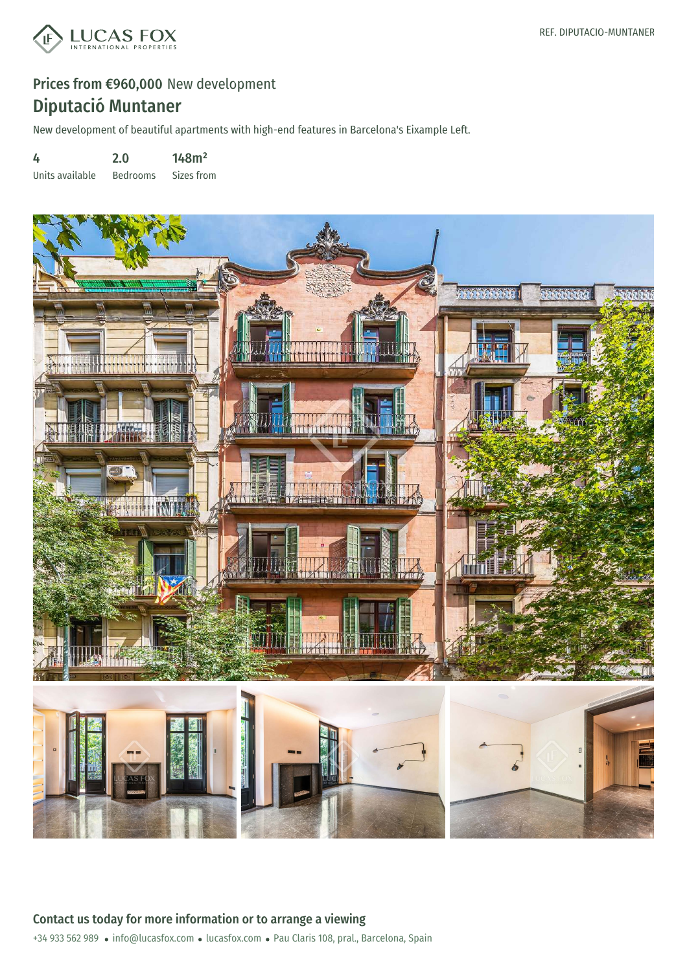

New development of beautiful apartments with high-end features in Barcelona's Eixample Left.

4 2.0 148m²

Units available Bedrooms Sizes from

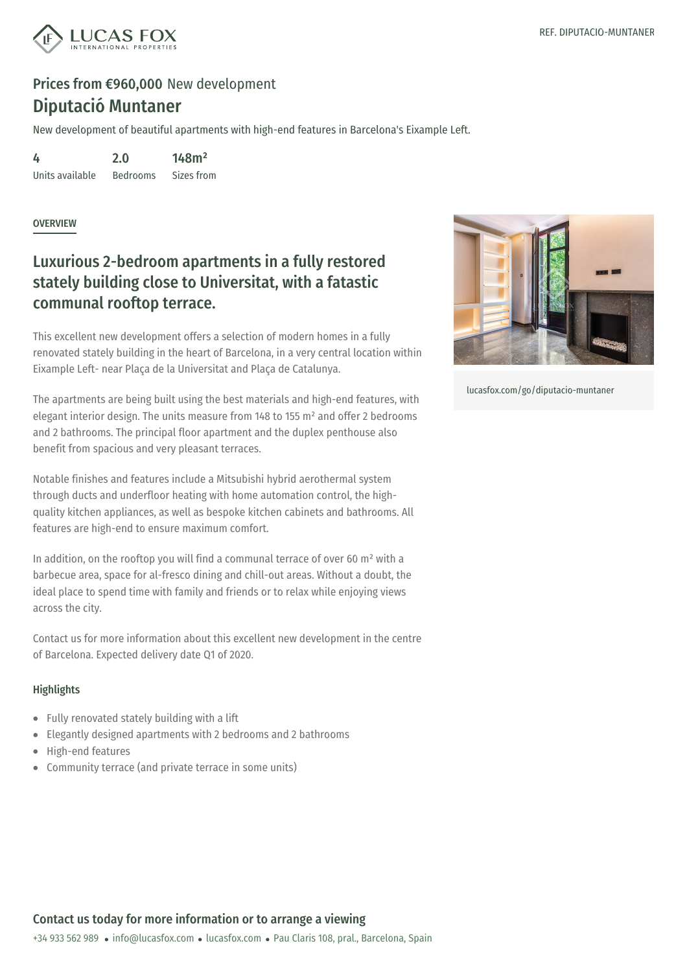

New development of beautiful apartments with high-end features in Barcelona's Eixample Left.

4 Units available 2.0 Bedrooms 148m² Sizes from

**OVERVIEW** 

### Luxurious 2-bedroom apartments in a fully restored stately building close to Universitat, with a fatastic communal rooftop terrace.

This excellent new development offers a selection of modern homes in a fully renovated stately building in the heart of Barcelona, in a very central location within Eixample Left- near Plaça de la Universitat and Plaça de Catalunya.

The apartments are being built using the best materials and high-end features, with elegant interior design. The units measure from 148 to 155 m² and offer 2 bedrooms and 2 bathrooms. The principal floor apartment and the duplex penthouse also benefit from spacious and very pleasant terraces.

Notable finishes and features include a Mitsubishi hybrid aerothermal system through ducts and underfloor heating with home automation control, the highquality kitchen appliances, as well as bespoke kitchen cabinets and bathrooms. All features are high-end to ensure maximum comfort.

In addition, on the rooftop you will find a communal terrace of over 60 m<sup>2</sup> with a barbecue area, space for al-fresco dining and chill-out areas. Without a doubt, the ideal place to spend time with family and friends or to relax while enjoying views across the city.

Contact us for more information about this excellent new development in the centre of Barcelona. Expected delivery date Q1 of 2020.

#### **Highlights**

- Fully renovated stately [building](mailto:info@lucasfox.com) with a [lift](https://www.lucasfox.com)
- Elegantly designed apartments with 2 bedrooms and 2 bathrooms  $\bullet$  .
- High-end features
- Community terrace (and private terrace in some units)



[lucasfox.com/go/diputacio-muntaner](https://www.lucasfox.com/go/diputacio-muntaner)

### Contact us today for more information or to arrange a viewing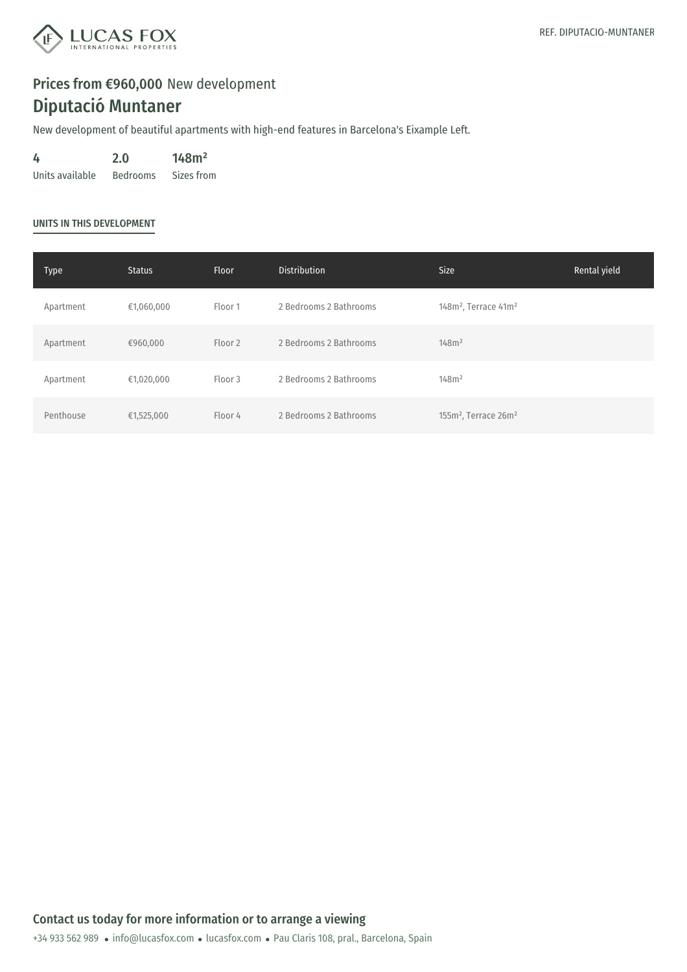

New development of beautiful apartments with high-end features in Barcelona's Eixample Left.

4 Units available Bedrooms Sizes from 2.0 148m²

#### UNITS IN THIS DEVELOPMENT

| Type      | <b>Status</b> | Floor   | <b>Distribution</b>    | <b>Size</b>                                  | Rental yield |
|-----------|---------------|---------|------------------------|----------------------------------------------|--------------|
| Apartment | €1,060,000    | Floor 1 | 2 Bedrooms 2 Bathrooms | 148m <sup>2</sup> , Terrace 41m <sup>2</sup> |              |
| Apartment | €960,000      | Floor 2 | 2 Bedrooms 2 Bathrooms | 148m <sup>2</sup>                            |              |
| Apartment | €1,020,000    | Floor 3 | 2 Bedrooms 2 Bathrooms | 148m <sup>2</sup>                            |              |
| Penthouse | €1,525,000    | Floor 4 | 2 Bedrooms 2 Bathrooms | 155m <sup>2</sup> , Terrace 26m <sup>2</sup> |              |